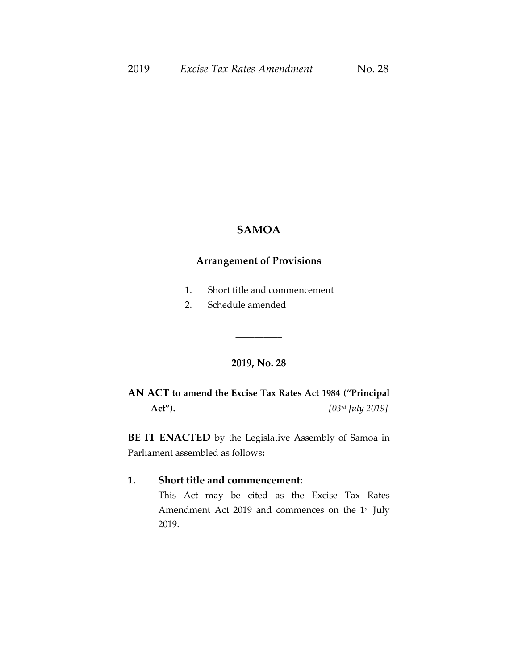### **SAMOA**

### **Arrangement of Provisions**

- 1. Short title and commencement
- 2. Schedule amended

## **2019, No. 28**

\_\_\_\_\_\_\_\_\_\_

**AN ACT to amend the Excise Tax Rates Act 1984 ("Principal Act").** *[03 rd July 2019]*

**BE IT ENACTED** by the Legislative Assembly of Samoa in Parliament assembled as follows**:**

#### **1. Short title and commencement:**

This Act may be cited as the Excise Tax Rates Amendment Act 2019 and commences on the 1<sup>st</sup> July 2019.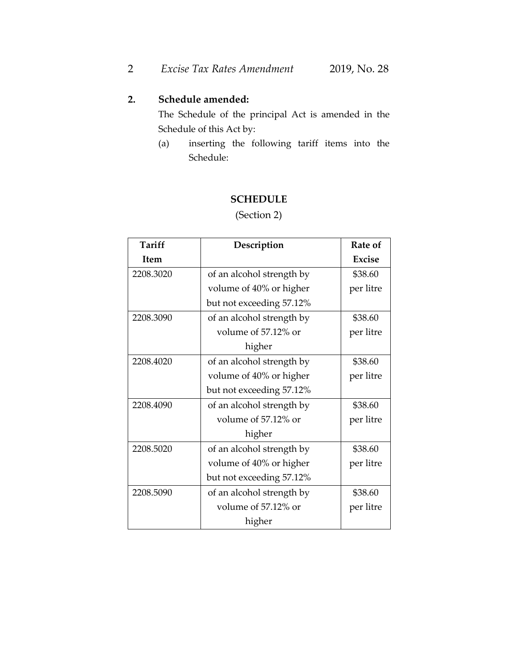# **2. Schedule amended:**

The Schedule of the principal Act is amended in the Schedule of this Act by:

(a) inserting the following tariff items into the Schedule:

### **SCHEDULE**

(Section 2)

| Tariff    | Description               | <b>Rate of</b> |
|-----------|---------------------------|----------------|
| Item      |                           | <b>Excise</b>  |
| 2208.3020 | of an alcohol strength by | \$38.60        |
|           | volume of 40% or higher   | per litre      |
|           | but not exceeding 57.12%  |                |
| 2208.3090 | of an alcohol strength by | \$38.60        |
|           | volume of 57.12% or       | per litre      |
|           | higher                    |                |
| 2208.4020 | of an alcohol strength by | \$38.60        |
|           | volume of 40% or higher   | per litre      |
|           | but not exceeding 57.12%  |                |
| 2208.4090 | of an alcohol strength by | \$38.60        |
|           | volume of 57.12% or       | per litre      |
|           | higher                    |                |
| 2208.5020 | of an alcohol strength by | \$38.60        |
|           | volume of 40% or higher   | per litre      |
|           | but not exceeding 57.12%  |                |
| 2208.5090 | of an alcohol strength by | \$38.60        |
|           | volume of 57.12% or       | per litre      |
|           | higher                    |                |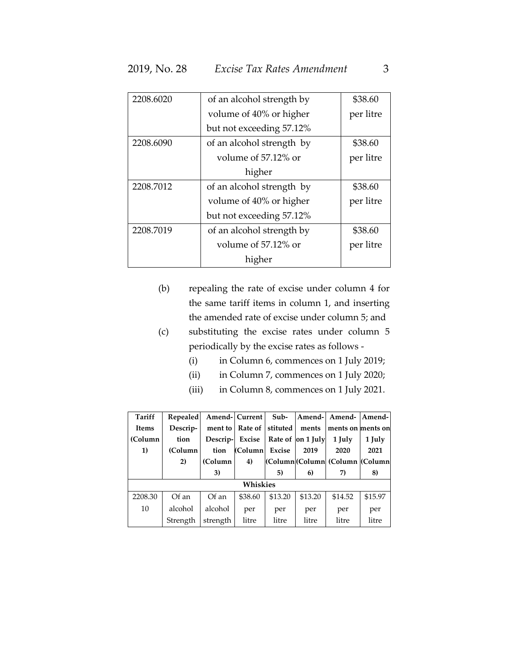| 2208.6020 | of an alcohol strength by | \$38.60   |
|-----------|---------------------------|-----------|
|           | volume of 40% or higher   | per litre |
|           | but not exceeding 57.12%  |           |
| 2208.6090 | of an alcohol strength by | \$38.60   |
|           | volume of 57.12% or       | per litre |
|           | higher                    |           |
| 2208.7012 | of an alcohol strength by | \$38.60   |
|           | volume of 40% or higher   | per litre |
|           | but not exceeding 57.12%  |           |
| 2208.7019 | of an alcohol strength by | \$38.60   |
|           | volume of 57.12% or       | per litre |
|           | higher                    |           |

- (b) repealing the rate of excise under column 4 for the same tariff items in column 1, and inserting the amended rate of excise under column 5; and
- (c) substituting the excise rates under column 5 periodically by the excise rates as follows -
	- (i) in Column 6, commences on 1 July 2019;
	- (ii) in Column 7, commences on 1 July 2020;
	- (iii) in Column 8, commences on 1 July 2021.

| Tariff       | Repealed |          | Amend-Current | Sub-     |                   | Amend-l Amend-                 | Amend-  |
|--------------|----------|----------|---------------|----------|-------------------|--------------------------------|---------|
| <b>Items</b> | Descrip- | ment to  | Rate of       | stituted | ments             | ments on ments on              |         |
| (Column      | tion     | Descrip- | Excise        |          | Rate of on 1 July | 1 July                         | 1 July  |
| 1)           | (Column  | tion     | (Column       | Excise   | 2019              | 2020                           | 2021    |
|              | 2)       | (Column) | 4)            |          |                   | (Column Column (Column (Column |         |
|              |          | 3)       |               | 5)       | 6)                | 7)                             | 8)      |
|              |          |          | Whiskies      |          |                   |                                |         |
| 2208.30      | Of an    | Of an    | \$38.60       | \$13.20  | \$13.20           | \$14.52                        | \$15.97 |
| 10           | alcohol  | alcohol  | per           | per      | per               | per                            | per     |
|              | Strength | strength | litre         | litre    | litre             | litre                          | litre   |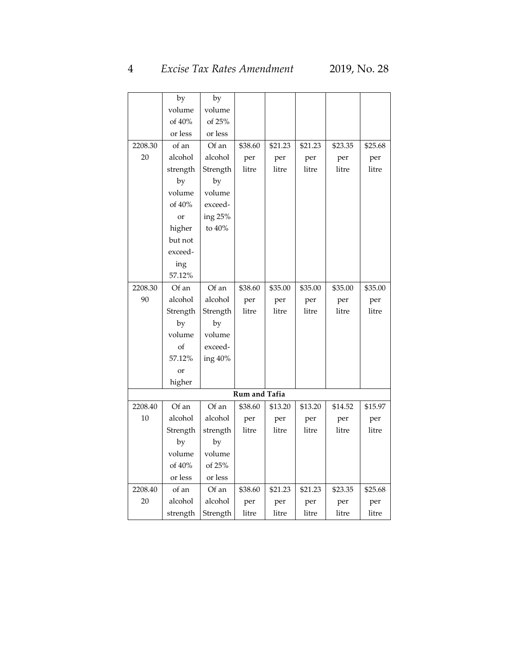# 4 *Excise Tax Rates Amendment* 2019, No. 28

|         | by       | by       |               |         |         |         |         |
|---------|----------|----------|---------------|---------|---------|---------|---------|
|         | volume   | volume   |               |         |         |         |         |
|         | of 40%   | of 25%   |               |         |         |         |         |
|         | or less  | or less  |               |         |         |         |         |
| 2208.30 | of an    | Of an    | \$38.60       | \$21.23 | \$21.23 | \$23.35 | \$25.68 |
| 20      | alcohol  | alcohol  | per           | per     | per     | per     | per     |
|         | strength | Strength | litre         | litre   | litre   | litre   | litre   |
|         | by       | by       |               |         |         |         |         |
|         | volume   | volume   |               |         |         |         |         |
|         | of 40%   | exceed-  |               |         |         |         |         |
|         | or       | ing 25%  |               |         |         |         |         |
|         | higher   | to 40%   |               |         |         |         |         |
|         | but not  |          |               |         |         |         |         |
|         | exceed-  |          |               |         |         |         |         |
|         | ing      |          |               |         |         |         |         |
|         | 57.12%   |          |               |         |         |         |         |
| 2208.30 | Of an    | Of an    | \$38.60       | \$35.00 | \$35.00 | \$35.00 | \$35.00 |
| 90      | alcohol  | alcohol  | per           | per     | per     | per     | per     |
|         | Strength | Strength | litre         | litre   | litre   | litre   | litre   |
|         | by       | by       |               |         |         |         |         |
|         | volume   | volume   |               |         |         |         |         |
|         | of       | exceed-  |               |         |         |         |         |
|         | 57.12%   | ing 40%  |               |         |         |         |         |
|         | or       |          |               |         |         |         |         |
|         | higher   |          |               |         |         |         |         |
|         |          |          | Rum and Tafia |         |         |         |         |
| 2208.40 | Of an    | Of an    | \$38.60       | \$13.20 | \$13.20 | \$14.52 | \$15.97 |
| 10      | alcohol  | alcohol  | per           | per     | per     | per     | per     |
|         | Strength | strength | litre         | litre   | litre   | litre   | litre   |
|         | by       | by       |               |         |         |         |         |
|         | volume   | volume   |               |         |         |         |         |
|         | of 40%   | of 25%   |               |         |         |         |         |
|         | or less  | or less  |               |         |         |         |         |
| 2208.40 | of an    | Of an    | \$38.60       | \$21.23 | \$21.23 | \$23.35 | \$25.68 |
| 20      | alcohol  | alcohol  | per           | per     | per     | per     | per     |
|         | strength | Strength | litre         | litre   | litre   | litre   | litre   |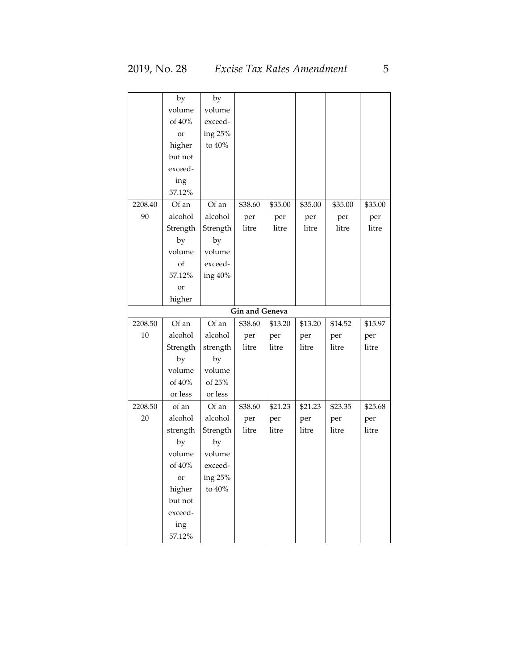|         | by        | by        |                       |         |         |         |         |
|---------|-----------|-----------|-----------------------|---------|---------|---------|---------|
|         | volume    | volume    |                       |         |         |         |         |
|         | of 40%    | exceed-   |                       |         |         |         |         |
|         | or        | ing 25%   |                       |         |         |         |         |
|         | higher    | to $40\%$ |                       |         |         |         |         |
|         | but not   |           |                       |         |         |         |         |
|         | exceed-   |           |                       |         |         |         |         |
|         | ing       |           |                       |         |         |         |         |
|         | 57.12%    |           |                       |         |         |         |         |
| 2208.40 | Of an     | Of an     | \$38.60               | \$35.00 | \$35.00 | \$35.00 | \$35.00 |
| 90      | alcohol   | alcohol   | per                   | per     | per     | per     | per     |
|         | Strength  | Strength  | litre                 | litre   | litre   | litre   | litre   |
|         | by        | by        |                       |         |         |         |         |
|         | volume    | volume    |                       |         |         |         |         |
|         | of        | exceed-   |                       |         |         |         |         |
|         | 57.12%    | ing 40%   |                       |         |         |         |         |
|         | or        |           |                       |         |         |         |         |
|         | higher    |           |                       |         |         |         |         |
|         |           |           | <b>Gin and Geneva</b> |         |         |         |         |
| 2208.50 | Of an     | Of an     | \$38.60               | \$13.20 | \$13.20 | \$14.52 | \$15.97 |
| 10      | alcohol   | alcohol   | per                   | per     | per     | per     | per     |
|         | Strength  | strength  | litre                 | litre   | litre   | litre   | litre   |
|         | by        | by        |                       |         |         |         |         |
|         | volume    | volume    |                       |         |         |         |         |
|         | of 40%    | of 25%    |                       |         |         |         |         |
|         | or less   | or less   |                       |         |         |         |         |
| 2208.50 | of an     | Of an     | \$38.60               | \$21.23 | \$21.23 | \$23.35 | \$25.68 |
| 20      | alcohol   | alcohol   | per                   | per     | per     | per     | per     |
|         | strength  | Strength  | litre                 | litre   | litre   | litre   | litre   |
|         | by        | by        |                       |         |         |         |         |
|         | volume    | volume    |                       |         |         |         |         |
|         | of $40\%$ | exceed-   |                       |         |         |         |         |
|         | <b>or</b> | ing 25%   |                       |         |         |         |         |
|         | higher    | to 40%    |                       |         |         |         |         |
|         | but not   |           |                       |         |         |         |         |
|         | exceed-   |           |                       |         |         |         |         |
|         | ing       |           |                       |         |         |         |         |
|         | 57.12%    |           |                       |         |         |         |         |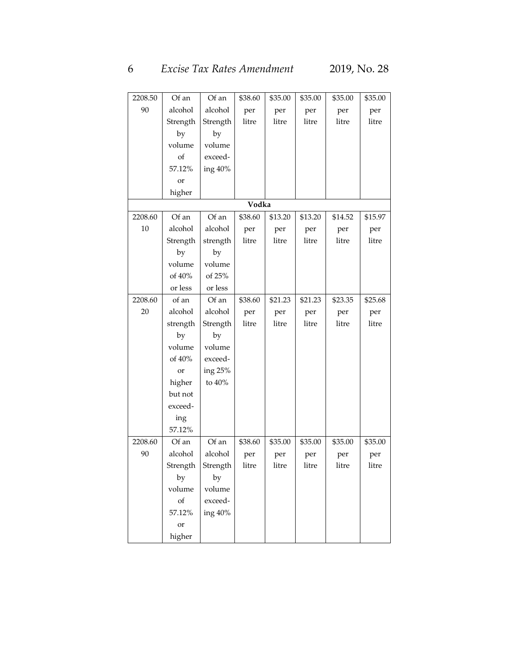# 6 *Excise Tax Rates Amendment* 2019, No. 28

| 2208.50 | Of an         | Of an    | \$38.60 | \$35.00 | \$35.00 | \$35.00 | \$35.00 |
|---------|---------------|----------|---------|---------|---------|---------|---------|
| 90      | alcohol       | alcohol  | per     | per     | per     | per     | per     |
|         | Strength      | Strength | litre   | litre   | litre   | litre   | litre   |
|         | by            | by       |         |         |         |         |         |
|         | volume        | volume   |         |         |         |         |         |
|         | of            | exceed-  |         |         |         |         |         |
|         | 57.12%        | ing 40%  |         |         |         |         |         |
|         | or            |          |         |         |         |         |         |
|         | higher        |          |         |         |         |         |         |
|         |               |          | Vodka   |         |         |         |         |
| 2208.60 | Of an         | Of an    | \$38.60 | \$13.20 | \$13.20 | \$14.52 | \$15.97 |
| 10      | alcohol       | alcohol  | per     | per     | per     | per     | per     |
|         | Strength      | strength | litre   | litre   | litre   | litre   | litre   |
|         | by            | by       |         |         |         |         |         |
|         | volume        | volume   |         |         |         |         |         |
|         | of 40%        | of 25%   |         |         |         |         |         |
|         | or less       | or less  |         |         |         |         |         |
| 2208.60 | of an         | Of an    | \$38.60 | \$21.23 | \$21.23 | \$23.35 | \$25.68 |
| 20      | alcohol       | alcohol  | per     | per     | per     | per     | per     |
|         | strength      | Strength | litre   | litre   | litre   | litre   | litre   |
|         | by            | by       |         |         |         |         |         |
|         | volume        | volume   |         |         |         |         |         |
|         | of 40%        | exceed-  |         |         |         |         |         |
|         | or            | ing 25%  |         |         |         |         |         |
|         | higher        | to 40%   |         |         |         |         |         |
|         | but not       |          |         |         |         |         |         |
|         | exceed-       |          |         |         |         |         |         |
|         | ing           |          |         |         |         |         |         |
|         | 57.12%        |          |         |         |         |         |         |
| 2208.60 | Of an         | Of an    | \$38.60 | \$35.00 | \$35.00 | \$35.00 | \$35.00 |
| 90      | alcohol       | alcohol  | per     | per     | per     | per     | per     |
|         | Strength      | Strength | litre   | litre   | litre   | litre   | litre   |
|         | by            | by       |         |         |         |         |         |
|         | volume        | volume   |         |         |         |         |         |
|         | of            | exceed-  |         |         |         |         |         |
|         | 57.12%        | ing 40%  |         |         |         |         |         |
|         | <sub>or</sub> |          |         |         |         |         |         |
|         | higher        |          |         |         |         |         |         |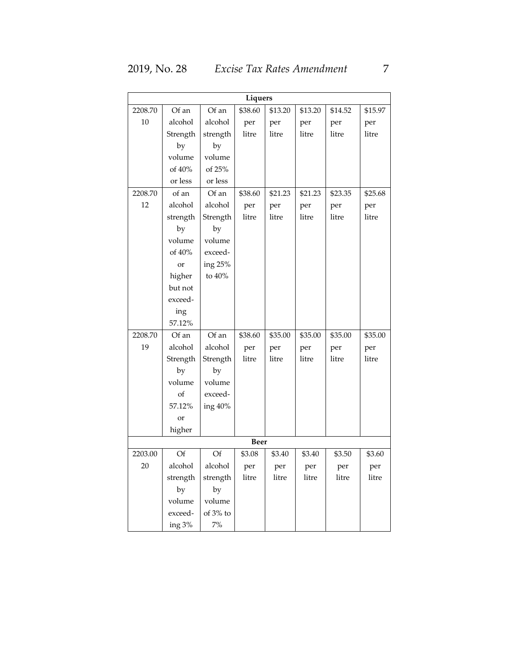| Liquers |               |          |         |         |         |         |         |  |  |
|---------|---------------|----------|---------|---------|---------|---------|---------|--|--|
| 2208.70 | Of an         | Of an    | \$38.60 | \$13.20 | \$13.20 | \$14.52 | \$15.97 |  |  |
| 10      | alcohol       | alcohol  | per     | per     | per     | per     | per     |  |  |
|         | Strength      | strength | litre   | litre   | litre   | litre   | litre   |  |  |
|         | by            | by       |         |         |         |         |         |  |  |
|         | volume        | volume   |         |         |         |         |         |  |  |
|         | of 40%        | of 25%   |         |         |         |         |         |  |  |
|         | or less       | or less  |         |         |         |         |         |  |  |
| 2208.70 | of an         | Of an    | \$38.60 | \$21.23 | \$21.23 | \$23.35 | \$25.68 |  |  |
| 12      | alcohol       | alcohol  | per     | per     | per     | per     | per     |  |  |
|         | strength      | Strength | litre   | litre   | litre   | litre   | litre   |  |  |
|         | by            | by       |         |         |         |         |         |  |  |
|         | volume        | volume   |         |         |         |         |         |  |  |
|         | of 40%        | exceed-  |         |         |         |         |         |  |  |
|         | <sub>or</sub> | ing 25%  |         |         |         |         |         |  |  |
|         | higher        | to 40%   |         |         |         |         |         |  |  |
|         | but not       |          |         |         |         |         |         |  |  |
|         | exceed-       |          |         |         |         |         |         |  |  |
|         | ing           |          |         |         |         |         |         |  |  |
|         | 57.12%        |          |         |         |         |         |         |  |  |
| 2208.70 | Of an         | Of an    | \$38.60 | \$35.00 | \$35.00 | \$35.00 | \$35.00 |  |  |
| 19      | alcohol       | alcohol  | per     | per     | per     | per     | per     |  |  |
|         | Strength      | Strength | litre   | litre   | litre   | litre   | litre   |  |  |
|         | by            | by       |         |         |         |         |         |  |  |
|         | volume        | volume   |         |         |         |         |         |  |  |
|         | of            | exceed-  |         |         |         |         |         |  |  |
|         | 57.12%        | ing 40%  |         |         |         |         |         |  |  |
|         | <sub>or</sub> |          |         |         |         |         |         |  |  |
|         | higher        |          |         |         |         |         |         |  |  |
|         |               |          | Beer    |         |         |         |         |  |  |
| 2203.00 | Of            | Of       | \$3.08  | \$3.40  | \$3.40  | \$3.50  | \$3.60  |  |  |
| 20      | alcohol       | alcohol  | per     | per     | per     | per     | per     |  |  |
|         | strength      | strength | litre   | litre   | litre   | litre   | litre   |  |  |
|         | by            | by       |         |         |         |         |         |  |  |
|         | volume        | volume   |         |         |         |         |         |  |  |
|         | exceed-       | of 3% to |         |         |         |         |         |  |  |
|         | ing 3%        | 7%       |         |         |         |         |         |  |  |